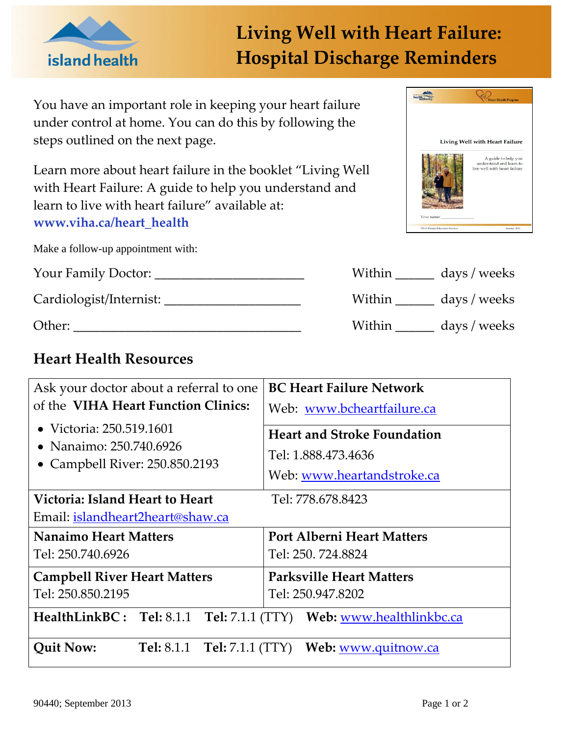

## **Living Well with Heart Failure: Hospital Discharge Reminders**

You have an important role in keeping your heart failure under control at home. You can do this by following the steps outlined on the next page.

Learn more about heart failure in the booklet "Living Well with Heart Failure: A guide to help you understand and learn to live with heart failure" available at: **www.viha.ca/heart\_health**

Make a follow-up appointment with:

Your Family Doctor: \_\_\_\_\_\_\_\_\_\_\_\_\_\_\_\_\_\_\_\_\_\_\_

Cardiologist/Internist: \_\_\_\_\_\_\_\_\_\_\_\_\_\_\_\_\_\_\_\_\_

Other:

## **Heart Health Resources**

| VANCOUV<br>health | <b>Heart Health Program</b>                                                                                      |
|-------------------|------------------------------------------------------------------------------------------------------------------|
|                   | Living Well with Heart Failure<br>A guide to help you<br>understand and learn to<br>live well with heart failure |
|                   |                                                                                                                  |

| Within | days / weeks |
|--------|--------------|
| Within | days / weeks |
| Within | days / weeks |

| Ask your doctor about a referral to one<br>of the VIHA Heart Function Clinics:<br>• Victoria: 250.519.1601<br>• Nanaimo: 250.740.6926<br>• Campbell River: 250.850.2193 | <b>BC Heart Failure Network</b><br>Web: www.bcheartfailure.ca<br><b>Heart and Stroke Foundation</b><br>Tel: 1.888.473.4636 |  |  |
|-------------------------------------------------------------------------------------------------------------------------------------------------------------------------|----------------------------------------------------------------------------------------------------------------------------|--|--|
|                                                                                                                                                                         | Web: www.heartandstroke.ca                                                                                                 |  |  |
| Victoria: Island Heart to Heart<br>Tel: 778.678.8423                                                                                                                    |                                                                                                                            |  |  |
| <u>Email: islandheart2heart@shaw.ca</u>                                                                                                                                 |                                                                                                                            |  |  |
| <b>Nanaimo Heart Matters</b>                                                                                                                                            | <b>Port Alberni Heart Matters</b>                                                                                          |  |  |
| Tel: 250.740.6926                                                                                                                                                       | Tel: 250. 724.8824                                                                                                         |  |  |
| <b>Campbell River Heart Matters</b>                                                                                                                                     | <b>Parksville Heart Matters</b>                                                                                            |  |  |
| Tel: 250.850.2195                                                                                                                                                       | Tel: 250.947.8202                                                                                                          |  |  |
| HealthLinkBC: Tel: 8.1.1 Tel: 7.1.1 (TTY) Web: www.healthlinkbc.ca                                                                                                      |                                                                                                                            |  |  |
| <b>Quit Now:</b><br><b>Tel:</b> 8.1.1 <b>Tel:</b> 7.1.1 (TTY)                                                                                                           | Web: www.quitnow.ca                                                                                                        |  |  |